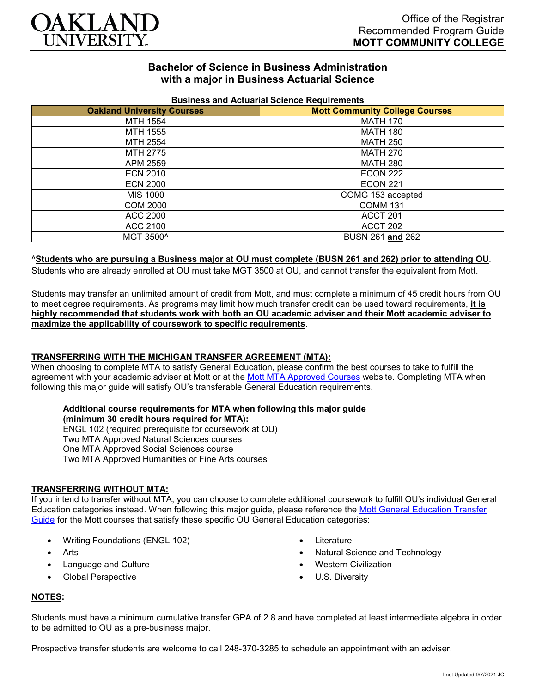

# **Bachelor of Science in Business Administration with a major in Business Actuarial Science**

| <b>DUSTITESS AND ACLUANTAL OCIONICE INCURNITENTS</b> |                                       |
|------------------------------------------------------|---------------------------------------|
| <b>Oakland University Courses</b>                    | <b>Mott Community College Courses</b> |
| MTH 1554                                             | <b>MATH 170</b>                       |
| MTH 1555                                             | <b>MATH 180</b>                       |
| MTH 2554                                             | <b>MATH 250</b>                       |
| MTH 2775                                             | <b>MATH 270</b>                       |
| APM 2559                                             | <b>MATH 280</b>                       |
| <b>ECN 2010</b>                                      | <b>ECON 222</b>                       |
| <b>ECN 2000</b>                                      | <b>ECON 221</b>                       |
| MIS 1000                                             | COMG 153 accepted                     |
| <b>COM 2000</b>                                      | <b>COMM 131</b>                       |
| ACC 2000                                             | ACCT 201                              |
| ACC 2100                                             | ACCT 202                              |
| MGT 3500^                                            | <b>BUSN 261 and 262</b>               |

## **Business and Actuarial Science Requirements**

### ^**Students who are pursuing a Business major at OU must complete (BUSN 261 and 262) prior to attending OU**.

Students who are already enrolled at OU must take MGT 3500 at OU, and cannot transfer the equivalent from Mott.

Students may transfer an unlimited amount of credit from Mott, and must complete a minimum of 45 credit hours from OU to meet degree requirements. As programs may limit how much transfer credit can be used toward requirements, **it is highly recommended that students work with both an OU academic adviser and their Mott academic adviser to maximize the applicability of coursework to specific requirements**.

### **TRANSFERRING WITH THE MICHIGAN TRANSFER AGREEMENT (MTA):**

When choosing to complete MTA to satisfy General Education, please confirm the best courses to take to fulfill the agreement with your academic adviser at Mott or at the [Mott MTA Approved Courses](https://www.mcc.edu/transfer/mi-transfer-agreement.shtml) website. Completing MTA when following this major guide will satisfy OU's transferable General Education requirements.

#### **Additional course requirements for MTA when following this major guide (minimum 30 credit hours required for MTA):**

ENGL 102 (required prerequisite for coursework at OU) Two MTA Approved Natural Sciences courses

One MTA Approved Social Sciences course

Two MTA Approved Humanities or Fine Arts courses

#### **TRANSFERRING WITHOUT MTA:**

If you intend to transfer without MTA, you can choose to complete additional coursework to fulfill OU's individual General Education categories instead. When following this major guide, please reference the Mott General Education Transfer [Guide](https://www.oakland.edu/Assets/Oakland/program-guides/mott-community-college/university-general-education-requirements/Mott%20Gen%20Ed.pdf) for the Mott courses that satisfy these specific OU General Education categories:

- Writing Foundations (ENGL 102)
- Arts
- Language and Culture
- Global Perspective
- Literature
- Natural Science and Technology
- Western Civilization
- U.S. Diversity

### **NOTES:**

Students must have a minimum cumulative transfer GPA of 2.8 and have completed at least intermediate algebra in order to be admitted to OU as a pre-business major.

Prospective transfer students are welcome to call 248-370-3285 to schedule an appointment with an adviser.